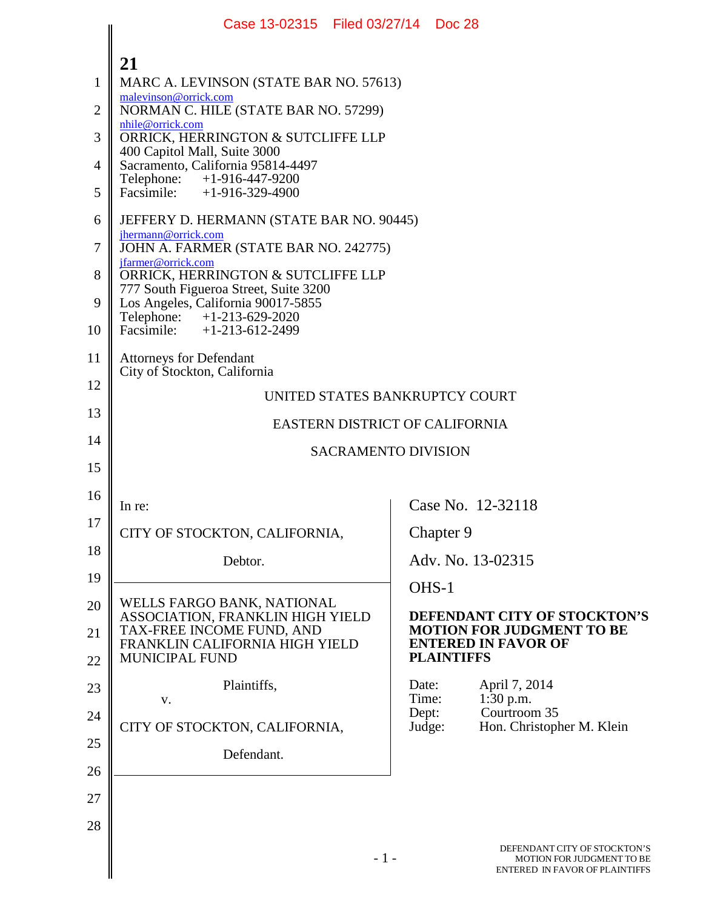|                | Case 13-02315   Filed 03/27/14   Doc 28                                                         |                                |                   |                                                                                             |
|----------------|-------------------------------------------------------------------------------------------------|--------------------------------|-------------------|---------------------------------------------------------------------------------------------|
|                | 21                                                                                              |                                |                   |                                                                                             |
| $\mathbf{1}$   | MARC A. LEVINSON (STATE BAR NO. 57613)                                                          |                                |                   |                                                                                             |
| $\overline{2}$ | malevinson@orrick.com<br>NORMAN C. HILE (STATE BAR NO. 57299)                                   |                                |                   |                                                                                             |
| 3              | nhile@orrick.com<br>ORRICK, HERRINGTON & SUTCLIFFE LLP<br>400 Capitol Mall, Suite 3000          |                                |                   |                                                                                             |
| 4              | Sacramento, California 95814-4497                                                               |                                |                   |                                                                                             |
| 5              | Telephone: +1-916-447-9200<br>Facsimile: +1-916-329-4900                                        |                                |                   |                                                                                             |
| 6              | JEFFERY D. HERMANN (STATE BAR NO. 90445)                                                        |                                |                   |                                                                                             |
| 7              | jhermann@orrick.com<br>JOHN A. FARMER (STATE BAR NO. 242775)                                    |                                |                   |                                                                                             |
| 8              | jfarmer@orrick.com<br>ORRICK, HERRINGTON & SUTCLIFFE LLP                                        |                                |                   |                                                                                             |
| 9              | 777 South Figueroa Street, Suite 3200<br>Los Angeles, California 90017-5855                     |                                |                   |                                                                                             |
| 10             | Telephone: +1-213-629-2020<br>Facsimile: +1-213-612-2499                                        |                                |                   |                                                                                             |
| 11             | <b>Attorneys for Defendant</b><br>City of Stockton, California                                  |                                |                   |                                                                                             |
| 12             | UNITED STATES BANKRUPTCY COURT                                                                  |                                |                   |                                                                                             |
| 13             |                                                                                                 |                                |                   |                                                                                             |
| 14             |                                                                                                 | EASTERN DISTRICT OF CALIFORNIA |                   |                                                                                             |
| 15             | <b>SACRAMENTO DIVISION</b>                                                                      |                                |                   |                                                                                             |
| 16             | In re:                                                                                          |                                |                   | Case No. 12-32118                                                                           |
| 17             | CITY OF STOCKTON, CALIFORNIA,                                                                   |                                | Chapter 9         |                                                                                             |
| 18             | Debtor.                                                                                         |                                |                   | Adv. No. 13-02315                                                                           |
| 19             |                                                                                                 |                                | OHS-1             |                                                                                             |
| 20             | WELLS FARGO BANK, NATIONAL                                                                      |                                |                   | DEFENDANT CITY OF STOCKTON'S                                                                |
| 21             | ASSOCIATION, FRANKLIN HIGH YIELD<br>TAX-FREE INCOME FUND, AND<br>FRANKLIN CALIFORNIA HIGH YIELD |                                |                   | <b>MOTION FOR JUDGMENT TO BE</b><br><b>ENTERED IN FAVOR OF</b>                              |
| 22             | <b>MUNICIPAL FUND</b>                                                                           |                                | <b>PLAINTIFFS</b> |                                                                                             |
| 23             | Plaintiffs,<br>V.                                                                               | Date:<br>Time:                 |                   | April 7, 2014<br>$1:30$ p.m.                                                                |
| 24             | CITY OF STOCKTON, CALIFORNIA,                                                                   | Dept:<br>Judge:                |                   | Courtroom 35<br>Hon. Christopher M. Klein                                                   |
| 25             | Defendant.                                                                                      |                                |                   |                                                                                             |
| 26             |                                                                                                 |                                |                   |                                                                                             |
| 27             |                                                                                                 |                                |                   |                                                                                             |
| 28             |                                                                                                 |                                |                   |                                                                                             |
|                |                                                                                                 | $-1-$                          |                   | DEFENDANT CITY OF STOCKTON'S<br>MOTION FOR JUDGMENT TO BE<br>ENTERED IN FAVOR OF PLAINTIFFS |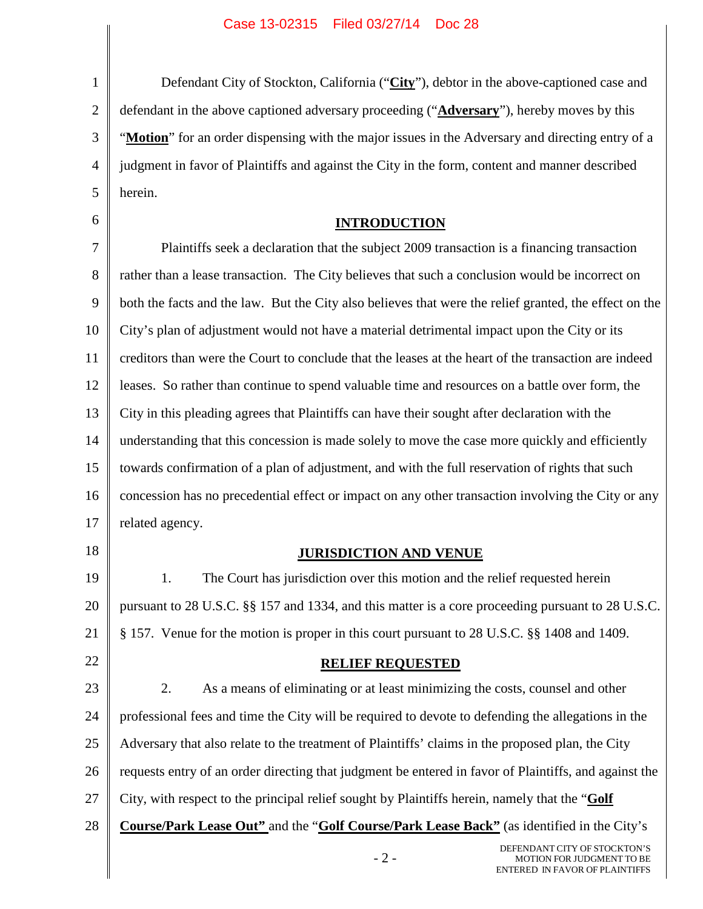1 2 3 4 5 Defendant City of Stockton, California ("**City**"), debtor in the above-captioned case and defendant in the above captioned adversary proceeding ("**Adversary**"), hereby moves by this "**Motion**" for an order dispensing with the major issues in the Adversary and directing entry of a judgment in favor of Plaintiffs and against the City in the form, content and manner described herein.

# **INTRODUCTION**

7 8 9 10 11 12 13 14 15 16 17 Plaintiffs seek a declaration that the subject 2009 transaction is a financing transaction rather than a lease transaction. The City believes that such a conclusion would be incorrect on both the facts and the law. But the City also believes that were the relief granted, the effect on the City's plan of adjustment would not have a material detrimental impact upon the City or its creditors than were the Court to conclude that the leases at the heart of the transaction are indeed leases. So rather than continue to spend valuable time and resources on a battle over form, the City in this pleading agrees that Plaintiffs can have their sought after declaration with the understanding that this concession is made solely to move the case more quickly and efficiently towards confirmation of a plan of adjustment, and with the full reservation of rights that such concession has no precedential effect or impact on any other transaction involving the City or any related agency.

18

22

6

# **JURISDICTION AND VENUE**

19 20 21 1. The Court has jurisdiction over this motion and the relief requested herein pursuant to 28 U.S.C. §§ 157 and 1334, and this matter is a core proceeding pursuant to 28 U.S.C. § 157. Venue for the motion is proper in this court pursuant to 28 U.S.C. §§ 1408 and 1409.

# **RELIEF REQUESTED**

23 24 25 26 27 28 2. As a means of eliminating or at least minimizing the costs, counsel and other professional fees and time the City will be required to devote to defending the allegations in the Adversary that also relate to the treatment of Plaintiffs' claims in the proposed plan, the City requests entry of an order directing that judgment be entered in favor of Plaintiffs, and against the City, with respect to the principal relief sought by Plaintiffs herein, namely that the "**Golf Course/Park Lease Out"** and the "**Golf Course/Park Lease Back"** (as identified in the City's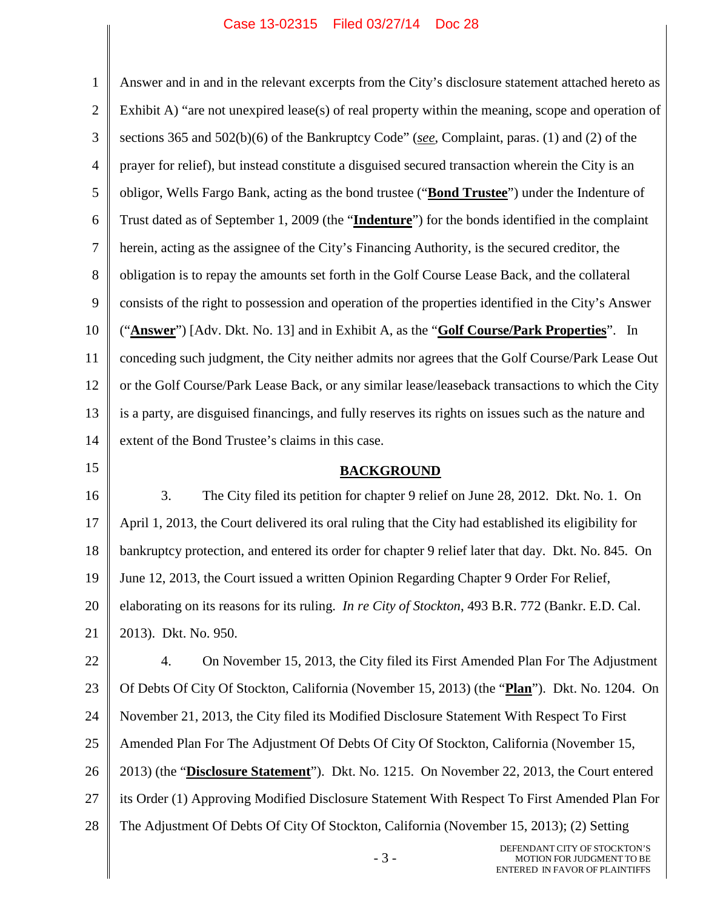1 2 3 4 5 6 7 8 9 10 11 12 13 14 15 16 17 18 19 20 21 22 23 24 25 26 27 28 Answer and in and in the relevant excerpts from the City's disclosure statement attached hereto as Exhibit A) "are not unexpired lease(s) of real property within the meaning, scope and operation of sections 365 and 502(b)(6) of the Bankruptcy Code" (*see*, Complaint, paras. (1) and (2) of the prayer for relief), but instead constitute a disguised secured transaction wherein the City is an obligor, Wells Fargo Bank, acting as the bond trustee ("**Bond Trustee**") under the Indenture of Trust dated as of September 1, 2009 (the "**Indenture**") for the bonds identified in the complaint herein, acting as the assignee of the City's Financing Authority, is the secured creditor, the obligation is to repay the amounts set forth in the Golf Course Lease Back, and the collateral consists of the right to possession and operation of the properties identified in the City's Answer ("**Answer**") [Adv. Dkt. No. 13] and in Exhibit A, as the "**Golf Course/Park Properties**". In conceding such judgment, the City neither admits nor agrees that the Golf Course/Park Lease Out or the Golf Course/Park Lease Back, or any similar lease/leaseback transactions to which the City is a party, are disguised financings, and fully reserves its rights on issues such as the nature and extent of the Bond Trustee's claims in this case. **BACKGROUND** 3. The City filed its petition for chapter 9 relief on June 28, 2012. Dkt. No. 1. On April 1, 2013, the Court delivered its oral ruling that the City had established its eligibility for bankruptcy protection, and entered its order for chapter 9 relief later that day. Dkt. No. 845. On June 12, 2013, the Court issued a written Opinion Regarding Chapter 9 Order For Relief, elaborating on its reasons for its ruling. *In re City of Stockton*, 493 B.R. 772 (Bankr. E.D. Cal. 2013). Dkt. No. 950. 4. On November 15, 2013, the City filed its First Amended Plan For The Adjustment Of Debts Of City Of Stockton, California (November 15, 2013) (the "**Plan**"). Dkt. No. 1204. On November 21, 2013, the City filed its Modified Disclosure Statement With Respect To First Amended Plan For The Adjustment Of Debts Of City Of Stockton, California (November 15, 2013) (the "**Disclosure Statement**"). Dkt. No. 1215. On November 22, 2013, the Court entered its Order (1) Approving Modified Disclosure Statement With Respect To First Amended Plan For The Adjustment Of Debts Of City Of Stockton, California (November 15, 2013); (2) Setting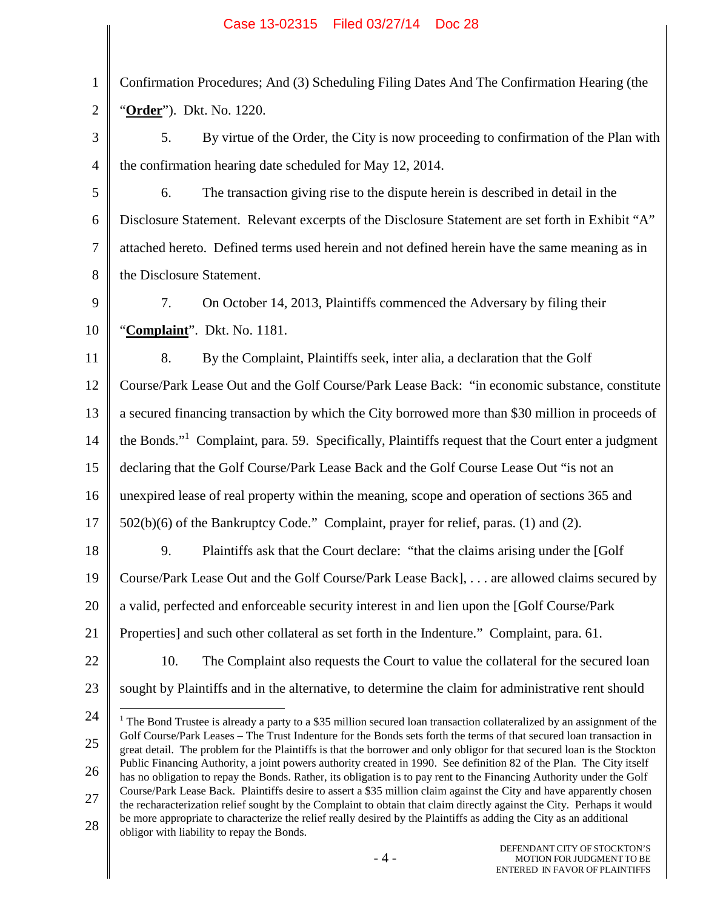| 1 Confirmation Procedures; And (3) Scheduling Filing Dates And The Confirmation Hearing (the |
|----------------------------------------------------------------------------------------------|
| 2 <b>(Order</b> ). Dkt. No. 1220.                                                            |

3 4 5. By virtue of the Order, the City is now proceeding to confirmation of the Plan with the confirmation hearing date scheduled for May 12, 2014.

5 6 7 8 6. The transaction giving rise to the dispute herein is described in detail in the Disclosure Statement. Relevant excerpts of the Disclosure Statement are set forth in Exhibit "A" attached hereto. Defined terms used herein and not defined herein have the same meaning as in the Disclosure Statement.

9 10 7. On October 14, 2013, Plaintiffs commenced the Adversary by filing their "**Complaint**". Dkt. No. 1181.

11 12 13 14 15 16 8. By the Complaint, Plaintiffs seek, inter alia, a declaration that the Golf Course/Park Lease Out and the Golf Course/Park Lease Back: "in economic substance, constitute a secured financing transaction by which the City borrowed more than \$30 million in proceeds of the Bonds."<sup>1</sup> Complaint, para. 59. Specifically, Plaintiffs request that the Court enter a judgment declaring that the Golf Course/Park Lease Back and the Golf Course Lease Out "is not an unexpired lease of real property within the meaning, scope and operation of sections 365 and

- 17 502(b)(6) of the Bankruptcy Code." Complaint, prayer for relief, paras. (1) and (2).
- 18 19 20 21 9. Plaintiffs ask that the Court declare: "that the claims arising under the [Golf Course/Park Lease Out and the Golf Course/Park Lease Back], . . . are allowed claims secured by a valid, perfected and enforceable security interest in and lien upon the [Golf Course/Park Properties] and such other collateral as set forth in the Indenture." Complaint, para. 61.
- 22

10. The Complaint also requests the Court to value the collateral for the secured loan

sought by Plaintiffs and in the alternative, to determine the claim for administrative rent should

- 23
- 24

25 26 27 28 <sup>1</sup> The Bond Trustee is already a party to a \$35 million secured loan transaction collateralized by an assignment of the Golf Course/Park Leases – The Trust Indenture for the Bonds sets forth the terms of that secured loan transaction in great detail. The problem for the Plaintiffs is that the borrower and only obligor for that secured loan is the Stockton Public Financing Authority, a joint powers authority created in 1990. See definition 82 of the Plan. The City itself has no obligation to repay the Bonds. Rather, its obligation is to pay rent to the Financing Authority under the Golf Course/Park Lease Back. Plaintiffs desire to assert a \$35 million claim against the City and have apparently chosen the recharacterization relief sought by the Complaint to obtain that claim directly against the City. Perhaps it would be more appropriate to characterize the relief really desired by the Plaintiffs as adding the City as an additional obligor with liability to repay the Bonds.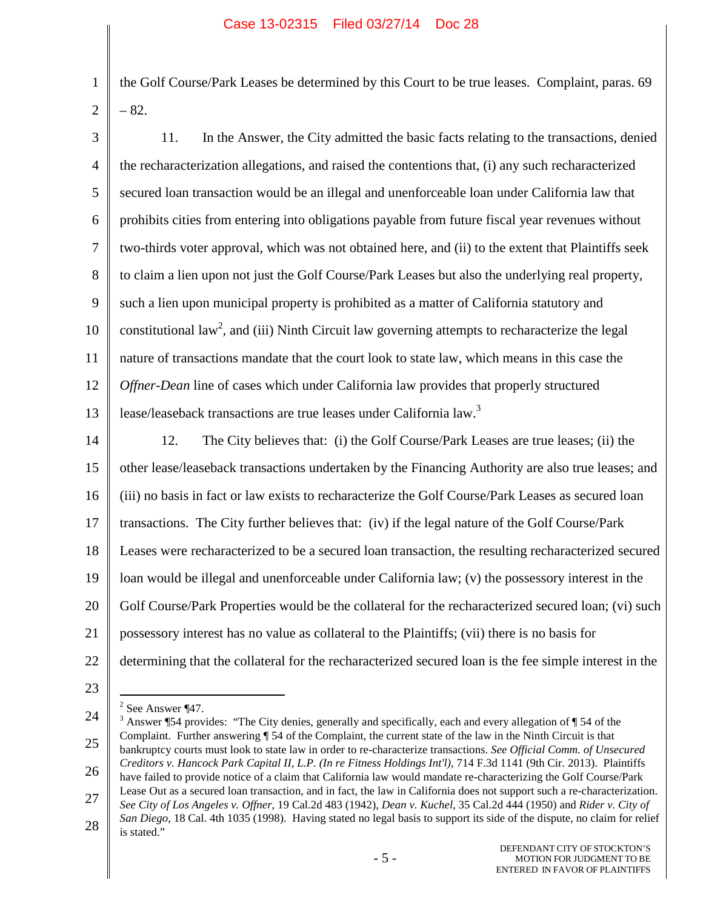the Golf Course/Park Leases be determined by this Court to be true leases. Complaint, paras. 69 – 82.

- 3 4 5 6 7 8 9 10 11 12 13 14 15 16 17 18 19 20 21 22 23 11. In the Answer, the City admitted the basic facts relating to the transactions, denied the recharacterization allegations, and raised the contentions that, (i) any such recharacterized secured loan transaction would be an illegal and unenforceable loan under California law that prohibits cities from entering into obligations payable from future fiscal year revenues without two-thirds voter approval, which was not obtained here, and (ii) to the extent that Plaintiffs seek to claim a lien upon not just the Golf Course/Park Leases but also the underlying real property, such a lien upon municipal property is prohibited as a matter of California statutory and constitutional law<sup>2</sup>, and (iii) Ninth Circuit law governing attempts to recharacterize the legal nature of transactions mandate that the court look to state law, which means in this case the *Offner-Dean* line of cases which under California law provides that properly structured lease/leaseback transactions are true leases under California law.<sup>3</sup> 12. The City believes that: (i) the Golf Course/Park Leases are true leases; (ii) the other lease/leaseback transactions undertaken by the Financing Authority are also true leases; and (iii) no basis in fact or law exists to recharacterize the Golf Course/Park Leases as secured loan transactions. The City further believes that: (iv) if the legal nature of the Golf Course/Park Leases were recharacterized to be a secured loan transaction, the resulting recharacterized secured loan would be illegal and unenforceable under California law; (v) the possessory interest in the Golf Course/Park Properties would be the collateral for the recharacterized secured loan; (vi) such possessory interest has no value as collateral to the Plaintiffs; (vii) there is no basis for determining that the collateral for the recharacterized secured loan is the fee simple interest in the
	- $2$  See Answer ¶47.

1

<sup>24</sup> 25 26 <sup>3</sup> Answer ¶54 provides: "The City denies, generally and specifically, each and every allegation of ¶ 54 of the Complaint. Further answering ¶ 54 of the Complaint, the current state of the law in the Ninth Circuit is that bankruptcy courts must look to state law in order to re-characterize transactions. *See Official Comm. of Unsecured Creditors v. Hancock Park Capital II, L.P. (In re Fitness Holdings Int'l)*, 714 F.3d 1141 (9th Cir. 2013). Plaintiffs have failed to provide notice of a claim that California law would mandate re-characterizing the Golf Course/Park

<sup>27</sup> 28 Lease Out as a secured loan transaction, and in fact, the law in California does not support such a re-characterization. *See City of Los Angeles v. Offner*, 19 Cal.2d 483 (1942), *Dean v. Kuchel*, 35 Cal.2d 444 (1950) and *Rider v. City of San Diego*, 18 Cal. 4th 1035 (1998). Having stated no legal basis to support its side of the dispute, no claim for relief is stated."

<sup>- 5 -</sup>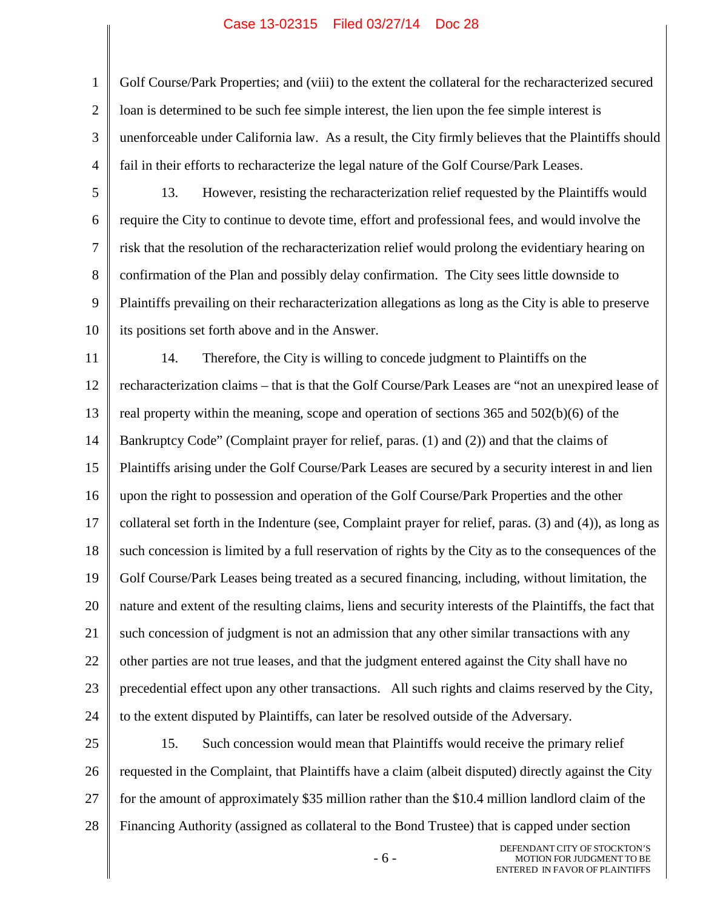1 2 3 4 Golf Course/Park Properties; and (viii) to the extent the collateral for the recharacterized secured loan is determined to be such fee simple interest, the lien upon the fee simple interest is unenforceable under California law. As a result, the City firmly believes that the Plaintiffs should fail in their efforts to recharacterize the legal nature of the Golf Course/Park Leases.

5

6 7 8 9 10 13. However, resisting the recharacterization relief requested by the Plaintiffs would require the City to continue to devote time, effort and professional fees, and would involve the risk that the resolution of the recharacterization relief would prolong the evidentiary hearing on confirmation of the Plan and possibly delay confirmation. The City sees little downside to Plaintiffs prevailing on their recharacterization allegations as long as the City is able to preserve its positions set forth above and in the Answer.

11 12 13 14 15 16 17 18 19 20 21 22 23 24 14. Therefore, the City is willing to concede judgment to Plaintiffs on the recharacterization claims – that is that the Golf Course/Park Leases are "not an unexpired lease of real property within the meaning, scope and operation of sections 365 and 502(b)(6) of the Bankruptcy Code" (Complaint prayer for relief, paras. (1) and (2)) and that the claims of Plaintiffs arising under the Golf Course/Park Leases are secured by a security interest in and lien upon the right to possession and operation of the Golf Course/Park Properties and the other collateral set forth in the Indenture (see, Complaint prayer for relief, paras. (3) and (4)), as long as such concession is limited by a full reservation of rights by the City as to the consequences of the Golf Course/Park Leases being treated as a secured financing, including, without limitation, the nature and extent of the resulting claims, liens and security interests of the Plaintiffs, the fact that such concession of judgment is not an admission that any other similar transactions with any other parties are not true leases, and that the judgment entered against the City shall have no precedential effect upon any other transactions. All such rights and claims reserved by the City, to the extent disputed by Plaintiffs, can later be resolved outside of the Adversary.

25 26 27 28 15. Such concession would mean that Plaintiffs would receive the primary relief requested in the Complaint, that Plaintiffs have a claim (albeit disputed) directly against the City for the amount of approximately \$35 million rather than the \$10.4 million landlord claim of the Financing Authority (assigned as collateral to the Bond Trustee) that is capped under section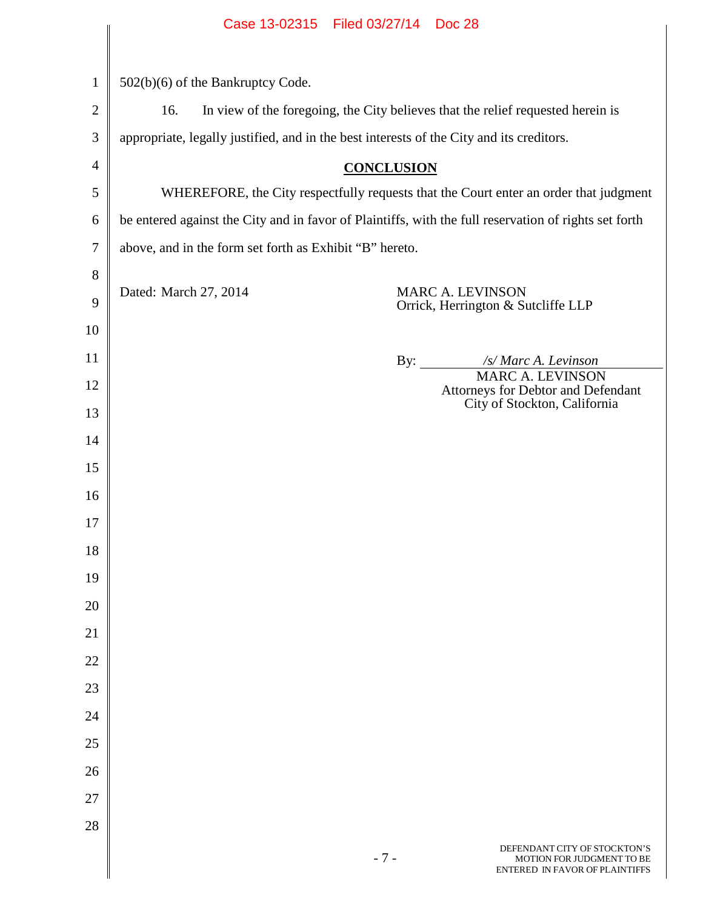|                | Case 13-02315 Filed 03/27/14 Doc 28                                                                   |  |  |  |
|----------------|-------------------------------------------------------------------------------------------------------|--|--|--|
|                |                                                                                                       |  |  |  |
| $\mathbf{1}$   | 502(b)(6) of the Bankruptcy Code.                                                                     |  |  |  |
| $\overline{c}$ | In view of the foregoing, the City believes that the relief requested herein is<br>16.                |  |  |  |
| $\mathfrak{Z}$ | appropriate, legally justified, and in the best interests of the City and its creditors.              |  |  |  |
| $\overline{4}$ | <b>CONCLUSION</b>                                                                                     |  |  |  |
| 5              | WHEREFORE, the City respectfully requests that the Court enter an order that judgment                 |  |  |  |
| 6              | be entered against the City and in favor of Plaintiffs, with the full reservation of rights set forth |  |  |  |
| $\tau$         | above, and in the form set forth as Exhibit "B" hereto.                                               |  |  |  |
| 8              |                                                                                                       |  |  |  |
| 9              | Dated: March 27, 2014<br><b>MARC A. LEVINSON</b><br>Orrick, Herrington & Sutcliffe LLP                |  |  |  |
| 10             |                                                                                                       |  |  |  |
| 11             | /s/ Marc A. Levinson<br>By:                                                                           |  |  |  |
| 12             | <b>MARC A. LEVINSON</b><br>Attorneys for Debtor and Defendant                                         |  |  |  |
| 13             | City of Stockton, California                                                                          |  |  |  |
| 14             |                                                                                                       |  |  |  |
| 15             |                                                                                                       |  |  |  |
| 16             |                                                                                                       |  |  |  |
| 17             |                                                                                                       |  |  |  |
| 18             |                                                                                                       |  |  |  |
| 19             |                                                                                                       |  |  |  |
| 20             |                                                                                                       |  |  |  |
| 21             |                                                                                                       |  |  |  |
| $22\,$         |                                                                                                       |  |  |  |
| $23\,$         |                                                                                                       |  |  |  |
| 24             |                                                                                                       |  |  |  |
| $25\,$         |                                                                                                       |  |  |  |
| 26             |                                                                                                       |  |  |  |
| 27             |                                                                                                       |  |  |  |
| 28             |                                                                                                       |  |  |  |
|                | DEFENDANT CITY OF STOCKTON'S                                                                          |  |  |  |

 $\Big\|$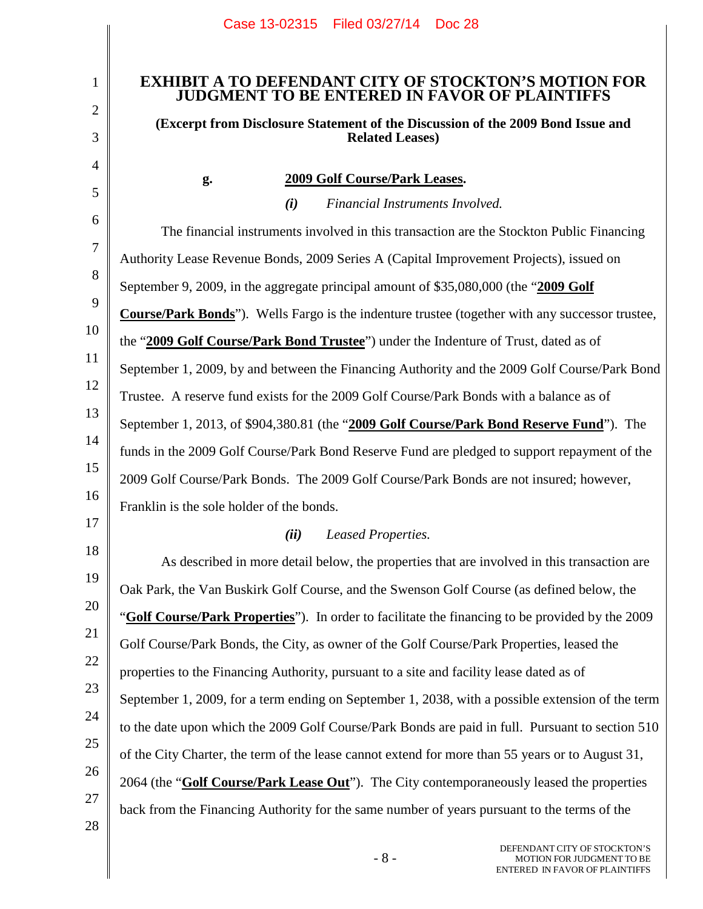# **EXHIBIT A TO DEFENDANT CITY OF STOCKTON'S MOTION FOR JUDGMENT TO BE ENTERED IN FAVOR OF PLAINTIFFS**

# **(Excerpt from Disclosure Statement of the Discussion of the 2009 Bond Issue and Related Leases)**

*(i) Financial Instruments Involved.*

1

2

3

4

5

# **g. 2009 Golf Course/Park Leases.**

6 7 8 9 10 11 12 13 14 15 16 17 The financial instruments involved in this transaction are the Stockton Public Financing Authority Lease Revenue Bonds, 2009 Series A (Capital Improvement Projects), issued on September 9, 2009, in the aggregate principal amount of \$35,080,000 (the "**2009 Golf Course/Park Bonds**"). Wells Fargo is the indenture trustee (together with any successor trustee, the "**2009 Golf Course/Park Bond Trustee**") under the Indenture of Trust, dated as of September 1, 2009, by and between the Financing Authority and the 2009 Golf Course/Park Bond Trustee. A reserve fund exists for the 2009 Golf Course/Park Bonds with a balance as of September 1, 2013, of \$904,380.81 (the "**2009 Golf Course/Park Bond Reserve Fund**"). The funds in the 2009 Golf Course/Park Bond Reserve Fund are pledged to support repayment of the 2009 Golf Course/Park Bonds. The 2009 Golf Course/Park Bonds are not insured; however, Franklin is the sole holder of the bonds. *(ii) Leased Properties.*

#### 18 19 20 21 22 23 24 25 26 27 As described in more detail below, the properties that are involved in this transaction are Oak Park, the Van Buskirk Golf Course, and the Swenson Golf Course (as defined below, the "**Golf Course/Park Properties**"). In order to facilitate the financing to be provided by the 2009 Golf Course/Park Bonds, the City, as owner of the Golf Course/Park Properties, leased the properties to the Financing Authority, pursuant to a site and facility lease dated as of September 1, 2009, for a term ending on September 1, 2038, with a possible extension of the term to the date upon which the 2009 Golf Course/Park Bonds are paid in full. Pursuant to section 510 of the City Charter, the term of the lease cannot extend for more than 55 years or to August 31, 2064 (the "**Golf Course/Park Lease Out**"). The City contemporaneously leased the properties back from the Financing Authority for the same number of years pursuant to the terms of the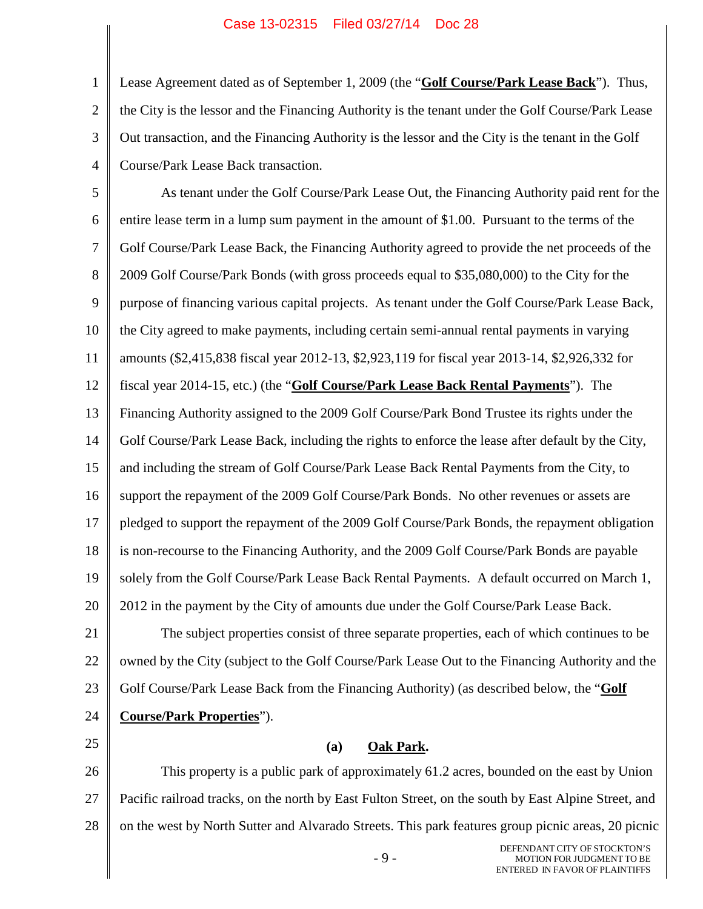1 2 3 4 Lease Agreement dated as of September 1, 2009 (the "**Golf Course/Park Lease Back**"). Thus, the City is the lessor and the Financing Authority is the tenant under the Golf Course/Park Lease Out transaction, and the Financing Authority is the lessor and the City is the tenant in the Golf Course/Park Lease Back transaction.

5 6 7 8 9 10 11 12 13 14 15 16 17 18 19 20 As tenant under the Golf Course/Park Lease Out, the Financing Authority paid rent for the entire lease term in a lump sum payment in the amount of \$1.00. Pursuant to the terms of the Golf Course/Park Lease Back, the Financing Authority agreed to provide the net proceeds of the 2009 Golf Course/Park Bonds (with gross proceeds equal to \$35,080,000) to the City for the purpose of financing various capital projects. As tenant under the Golf Course/Park Lease Back, the City agreed to make payments, including certain semi-annual rental payments in varying amounts (\$2,415,838 fiscal year 2012-13, \$2,923,119 for fiscal year 2013-14, \$2,926,332 for fiscal year 2014-15, etc.) (the "**Golf Course/Park Lease Back Rental Payments**"). The Financing Authority assigned to the 2009 Golf Course/Park Bond Trustee its rights under the Golf Course/Park Lease Back, including the rights to enforce the lease after default by the City, and including the stream of Golf Course/Park Lease Back Rental Payments from the City, to support the repayment of the 2009 Golf Course/Park Bonds. No other revenues or assets are pledged to support the repayment of the 2009 Golf Course/Park Bonds, the repayment obligation is non-recourse to the Financing Authority, and the 2009 Golf Course/Park Bonds are payable solely from the Golf Course/Park Lease Back Rental Payments. A default occurred on March 1, 2012 in the payment by the City of amounts due under the Golf Course/Park Lease Back.

21 22 23 24 The subject properties consist of three separate properties, each of which continues to be owned by the City (subject to the Golf Course/Park Lease Out to the Financing Authority and the Golf Course/Park Lease Back from the Financing Authority) (as described below, the "**Golf Course/Park Properties**").

25

# **(a) Oak Park.**

26 27 28 This property is a public park of approximately 61.2 acres, bounded on the east by Union Pacific railroad tracks, on the north by East Fulton Street, on the south by East Alpine Street, and on the west by North Sutter and Alvarado Streets. This park features group picnic areas, 20 picnic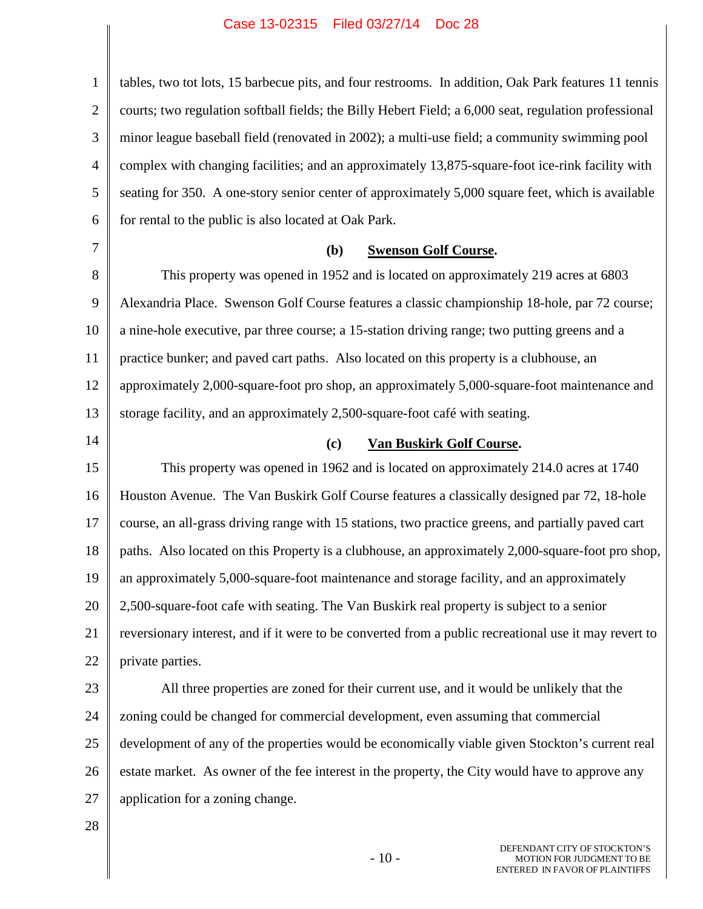1 2 3 4 5 6 7 8 9 10 11 12 13 14 15 16 17 tables, two tot lots, 15 barbecue pits, and four restrooms. In addition, Oak Park features 11 tennis courts; two regulation softball fields; the Billy Hebert Field; a 6,000 seat, regulation professional minor league baseball field (renovated in 2002); a multi-use field; a community swimming pool complex with changing facilities; and an approximately 13,875-square-foot ice-rink facility with seating for 350. A one-story senior center of approximately 5,000 square feet, which is available for rental to the public is also located at Oak Park. **(b) Swenson Golf Course.** This property was opened in 1952 and is located on approximately 219 acres at 6803 Alexandria Place. Swenson Golf Course features a classic championship 18-hole, par 72 course; a nine-hole executive, par three course; a 15-station driving range; two putting greens and a practice bunker; and paved cart paths. Also located on this property is a clubhouse, an approximately 2,000-square-foot pro shop, an approximately 5,000-square-foot maintenance and storage facility, and an approximately 2,500-square-foot café with seating. **(c) Van Buskirk Golf Course.** This property was opened in 1962 and is located on approximately 214.0 acres at 1740 Houston Avenue. The Van Buskirk Golf Course features a classically designed par 72, 18-hole course, an all-grass driving range with 15 stations, two practice greens, and partially paved cart

18 19 paths. Also located on this Property is a clubhouse, an approximately 2,000-square-foot pro shop, an approximately 5,000-square-foot maintenance and storage facility, and an approximately

20 21 22 2,500-square-foot cafe with seating. The Van Buskirk real property is subject to a senior reversionary interest, and if it were to be converted from a public recreational use it may revert to private parties.

23 24 25 26 27 All three properties are zoned for their current use, and it would be unlikely that the zoning could be changed for commercial development, even assuming that commercial development of any of the properties would be economically viable given Stockton's current real estate market. As owner of the fee interest in the property, the City would have to approve any application for a zoning change.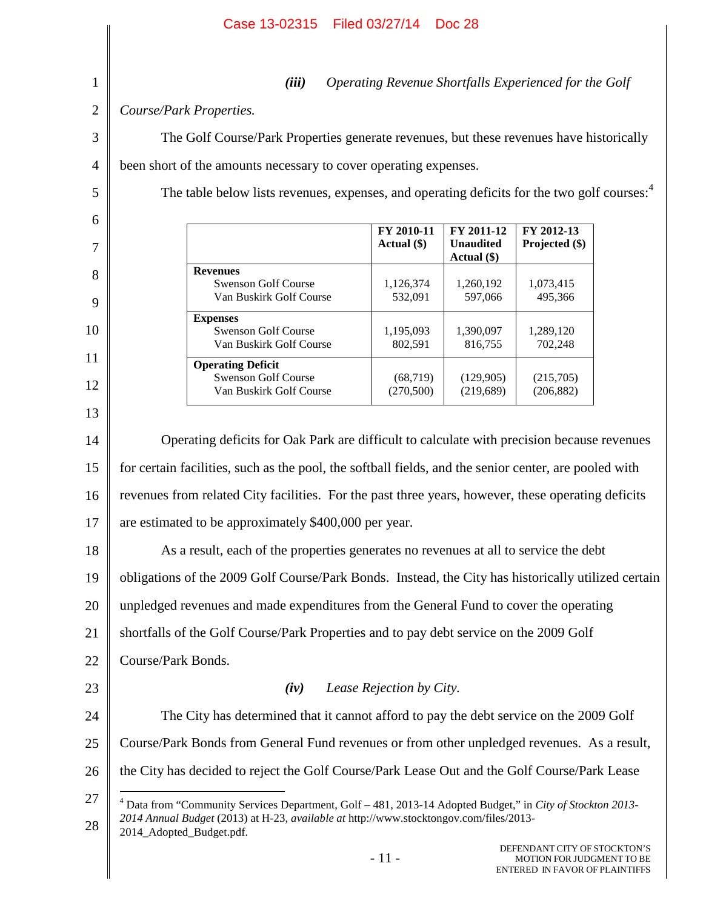|                | Filed 03/27/14<br>Case 13-02315                                                                         |                                                                                                                                                                                                          | <b>Doc 28</b>                                 |                                                                                             |  |  |
|----------------|---------------------------------------------------------------------------------------------------------|----------------------------------------------------------------------------------------------------------------------------------------------------------------------------------------------------------|-----------------------------------------------|---------------------------------------------------------------------------------------------|--|--|
| $\mathbf{1}$   | (iii)                                                                                                   |                                                                                                                                                                                                          |                                               | Operating Revenue Shortfalls Experienced for the Golf                                       |  |  |
| $\overline{2}$ | Course/Park Properties.                                                                                 |                                                                                                                                                                                                          |                                               |                                                                                             |  |  |
| 3              | The Golf Course/Park Properties generate revenues, but these revenues have historically                 |                                                                                                                                                                                                          |                                               |                                                                                             |  |  |
| 4              | been short of the amounts necessary to cover operating expenses.                                        |                                                                                                                                                                                                          |                                               |                                                                                             |  |  |
| 5              | The table below lists revenues, expenses, and operating deficits for the two golf courses: <sup>4</sup> |                                                                                                                                                                                                          |                                               |                                                                                             |  |  |
| 6              |                                                                                                         |                                                                                                                                                                                                          |                                               |                                                                                             |  |  |
| 7              |                                                                                                         | FY 2010-11<br>Actual (\$)                                                                                                                                                                                | FY 2011-12<br><b>Unaudited</b><br>Actual (\$) | FY 2012-13<br>Projected (\$)                                                                |  |  |
| 8              | <b>Revenues</b><br><b>Swenson Golf Course</b><br>Van Buskirk Golf Course                                | 1,126,374<br>532,091                                                                                                                                                                                     | 1,260,192<br>597,066                          | 1,073,415<br>495,366                                                                        |  |  |
| 9              | <b>Expenses</b>                                                                                         |                                                                                                                                                                                                          |                                               |                                                                                             |  |  |
| 10             | <b>Swenson Golf Course</b><br>Van Buskirk Golf Course                                                   | 1,195,093<br>802,591                                                                                                                                                                                     | 1,390,097<br>816,755                          | 1,289,120<br>702,248                                                                        |  |  |
| 11             | <b>Operating Deficit</b><br><b>Swenson Golf Course</b>                                                  | (68, 719)                                                                                                                                                                                                | (129,905)                                     | (215,705)                                                                                   |  |  |
| 12             | Van Buskirk Golf Course                                                                                 | (270, 500)                                                                                                                                                                                               | (219, 689)                                    | (206, 882)                                                                                  |  |  |
| 13             |                                                                                                         |                                                                                                                                                                                                          |                                               |                                                                                             |  |  |
| 14             | Operating deficits for Oak Park are difficult to calculate with precision because revenues              |                                                                                                                                                                                                          |                                               |                                                                                             |  |  |
| 15             | for certain facilities, such as the pool, the softball fields, and the senior center, are pooled with   |                                                                                                                                                                                                          |                                               |                                                                                             |  |  |
| 16             | revenues from related City facilities. For the past three years, however, these operating deficits      |                                                                                                                                                                                                          |                                               |                                                                                             |  |  |
| 17             | are estimated to be approximately \$400,000 per year.                                                   |                                                                                                                                                                                                          |                                               |                                                                                             |  |  |
| 18             | As a result, each of the properties generates no revenues at all to service the debt                    |                                                                                                                                                                                                          |                                               |                                                                                             |  |  |
| 19             | obligations of the 2009 Golf Course/Park Bonds. Instead, the City has historically utilized certain     |                                                                                                                                                                                                          |                                               |                                                                                             |  |  |
| 20             | unpledged revenues and made expenditures from the General Fund to cover the operating                   |                                                                                                                                                                                                          |                                               |                                                                                             |  |  |
| 21             |                                                                                                         | shortfalls of the Golf Course/Park Properties and to pay debt service on the 2009 Golf                                                                                                                   |                                               |                                                                                             |  |  |
| 22             | Course/Park Bonds.                                                                                      |                                                                                                                                                                                                          |                                               |                                                                                             |  |  |
| 23             | (iv)<br>Lease Rejection by City.                                                                        |                                                                                                                                                                                                          |                                               |                                                                                             |  |  |
| 24             |                                                                                                         | The City has determined that it cannot afford to pay the debt service on the 2009 Golf                                                                                                                   |                                               |                                                                                             |  |  |
| 25             |                                                                                                         | Course/Park Bonds from General Fund revenues or from other unpledged revenues. As a result,                                                                                                              |                                               |                                                                                             |  |  |
| 26             | the City has decided to reject the Golf Course/Park Lease Out and the Golf Course/Park Lease            |                                                                                                                                                                                                          |                                               |                                                                                             |  |  |
| 27<br>28       | 2014_Adopted_Budget.pdf.                                                                                | $4$ Data from "Community Services Department, Golf $-481$ , 2013-14 Adopted Budget," in City of Stockton 2013-<br>2014 Annual Budget (2013) at H-23, available at http://www.stocktongov.com/files/2013- |                                               |                                                                                             |  |  |
|                | $-11-$                                                                                                  |                                                                                                                                                                                                          |                                               | DEFENDANT CITY OF STOCKTON'S<br>MOTION FOR JUDGMENT TO BE<br>ENTERED IN FAVOR OF PLAINTIFFS |  |  |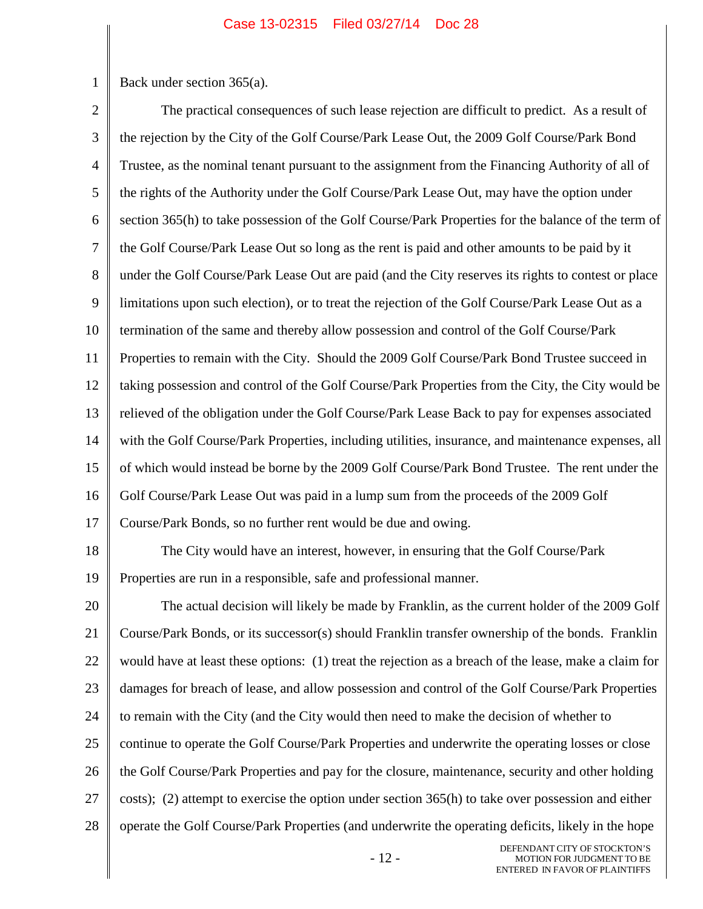1 Back under section 365(a).

2 3 4 5 6 7 8 9 10 11 12 13 14 15 16 17 18 19 20 21 22 23 24 25 26 27 28 The practical consequences of such lease rejection are difficult to predict. As a result of the rejection by the City of the Golf Course/Park Lease Out, the 2009 Golf Course/Park Bond Trustee, as the nominal tenant pursuant to the assignment from the Financing Authority of all of the rights of the Authority under the Golf Course/Park Lease Out, may have the option under section 365(h) to take possession of the Golf Course/Park Properties for the balance of the term of the Golf Course/Park Lease Out so long as the rent is paid and other amounts to be paid by it under the Golf Course/Park Lease Out are paid (and the City reserves its rights to contest or place limitations upon such election), or to treat the rejection of the Golf Course/Park Lease Out as a termination of the same and thereby allow possession and control of the Golf Course/Park Properties to remain with the City. Should the 2009 Golf Course/Park Bond Trustee succeed in taking possession and control of the Golf Course/Park Properties from the City, the City would be relieved of the obligation under the Golf Course/Park Lease Back to pay for expenses associated with the Golf Course/Park Properties, including utilities, insurance, and maintenance expenses, all of which would instead be borne by the 2009 Golf Course/Park Bond Trustee. The rent under the Golf Course/Park Lease Out was paid in a lump sum from the proceeds of the 2009 Golf Course/Park Bonds, so no further rent would be due and owing. The City would have an interest, however, in ensuring that the Golf Course/Park Properties are run in a responsible, safe and professional manner. The actual decision will likely be made by Franklin, as the current holder of the 2009 Golf Course/Park Bonds, or its successor(s) should Franklin transfer ownership of the bonds. Franklin would have at least these options: (1) treat the rejection as a breach of the lease, make a claim for damages for breach of lease, and allow possession and control of the Golf Course/Park Properties to remain with the City (and the City would then need to make the decision of whether to continue to operate the Golf Course/Park Properties and underwrite the operating losses or close the Golf Course/Park Properties and pay for the closure, maintenance, security and other holding costs); (2) attempt to exercise the option under section 365(h) to take over possession and either operate the Golf Course/Park Properties (and underwrite the operating deficits, likely in the hope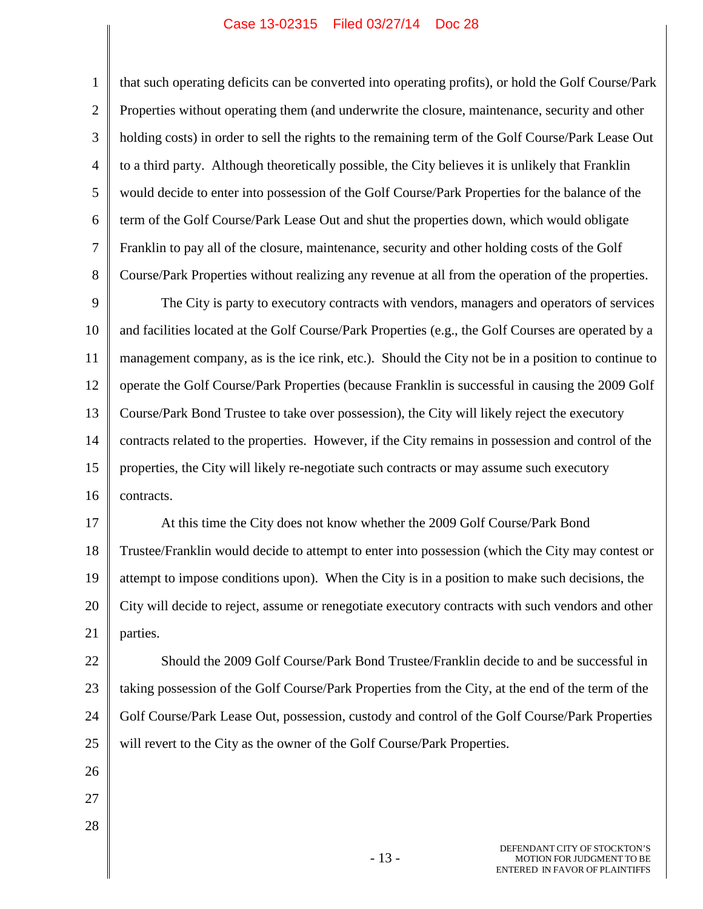1 2 3 4 5 6 7 8 9 10 11 12 that such operating deficits can be converted into operating profits), or hold the Golf Course/Park Properties without operating them (and underwrite the closure, maintenance, security and other holding costs) in order to sell the rights to the remaining term of the Golf Course/Park Lease Out to a third party. Although theoretically possible, the City believes it is unlikely that Franklin would decide to enter into possession of the Golf Course/Park Properties for the balance of the term of the Golf Course/Park Lease Out and shut the properties down, which would obligate Franklin to pay all of the closure, maintenance, security and other holding costs of the Golf Course/Park Properties without realizing any revenue at all from the operation of the properties. The City is party to executory contracts with vendors, managers and operators of services and facilities located at the Golf Course/Park Properties (e.g., the Golf Courses are operated by a management company, as is the ice rink, etc.). Should the City not be in a position to continue to operate the Golf Course/Park Properties (because Franklin is successful in causing the 2009 Golf

13 14 15 16 Course/Park Bond Trustee to take over possession), the City will likely reject the executory contracts related to the properties. However, if the City remains in possession and control of the properties, the City will likely re-negotiate such contracts or may assume such executory contracts.

17 18 19 20 21 At this time the City does not know whether the 2009 Golf Course/Park Bond Trustee/Franklin would decide to attempt to enter into possession (which the City may contest or attempt to impose conditions upon). When the City is in a position to make such decisions, the City will decide to reject, assume or renegotiate executory contracts with such vendors and other parties.

22 23 24 25 Should the 2009 Golf Course/Park Bond Trustee/Franklin decide to and be successful in taking possession of the Golf Course/Park Properties from the City, at the end of the term of the Golf Course/Park Lease Out, possession, custody and control of the Golf Course/Park Properties will revert to the City as the owner of the Golf Course/Park Properties.

- 26
- 27
- 28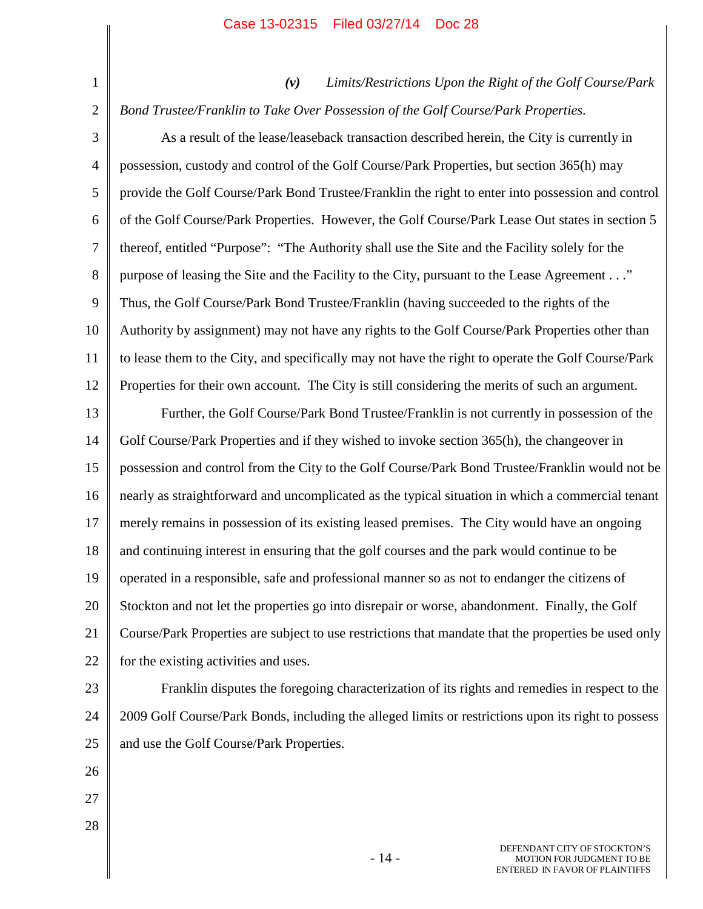| $\mathbf{1}$   | Limits/Restrictions Upon the Right of the Golf Course/Park<br>(v)                                     |  |  |  |
|----------------|-------------------------------------------------------------------------------------------------------|--|--|--|
| $\overline{2}$ | Bond Trustee/Franklin to Take Over Possession of the Golf Course/Park Properties.                     |  |  |  |
| 3              | As a result of the lease/leaseback transaction described herein, the City is currently in             |  |  |  |
| $\overline{4}$ | possession, custody and control of the Golf Course/Park Properties, but section 365(h) may            |  |  |  |
| 5              | provide the Golf Course/Park Bond Trustee/Franklin the right to enter into possession and control     |  |  |  |
| 6              | of the Golf Course/Park Properties. However, the Golf Course/Park Lease Out states in section 5       |  |  |  |
| 7              | thereof, entitled "Purpose": "The Authority shall use the Site and the Facility solely for the        |  |  |  |
| 8              | purpose of leasing the Site and the Facility to the City, pursuant to the Lease Agreement"            |  |  |  |
| 9              | Thus, the Golf Course/Park Bond Trustee/Franklin (having succeeded to the rights of the               |  |  |  |
| 10             | Authority by assignment) may not have any rights to the Golf Course/Park Properties other than        |  |  |  |
| 11             | to lease them to the City, and specifically may not have the right to operate the Golf Course/Park    |  |  |  |
| 12             | Properties for their own account. The City is still considering the merits of such an argument.       |  |  |  |
| 13             | Further, the Golf Course/Park Bond Trustee/Franklin is not currently in possession of the             |  |  |  |
| 14             | Golf Course/Park Properties and if they wished to invoke section 365(h), the changeover in            |  |  |  |
| 15             | possession and control from the City to the Golf Course/Park Bond Trustee/Franklin would not be       |  |  |  |
| 16             | nearly as straightforward and uncomplicated as the typical situation in which a commercial tenant     |  |  |  |
| 17             | merely remains in possession of its existing leased premises. The City would have an ongoing          |  |  |  |
| 18             | and continuing interest in ensuring that the golf courses and the park would continue to be           |  |  |  |
| 19             | operated in a responsible, safe and professional manner so as not to endanger the citizens of         |  |  |  |
| 20             | Stockton and not let the properties go into disrepair or worse, abandonment. Finally, the Golf        |  |  |  |
| 21             | Course/Park Properties are subject to use restrictions that mandate that the properties be used only  |  |  |  |
| 22             | for the existing activities and uses.                                                                 |  |  |  |
| 23             | Franklin disputes the foregoing characterization of its rights and remedies in respect to the         |  |  |  |
| 24             | 2009 Golf Course/Park Bonds, including the alleged limits or restrictions upon its right to possess   |  |  |  |
| 25             | and use the Golf Course/Park Properties.                                                              |  |  |  |
| 26             |                                                                                                       |  |  |  |
| 27             |                                                                                                       |  |  |  |
| 28             |                                                                                                       |  |  |  |
|                | DEFENDANT CITY OF STOCKTON'S<br>$-14-$<br>MOTION FOR JUDGMENT TO BE<br>ENTERED IN FAVOR OF PLAINTIFFS |  |  |  |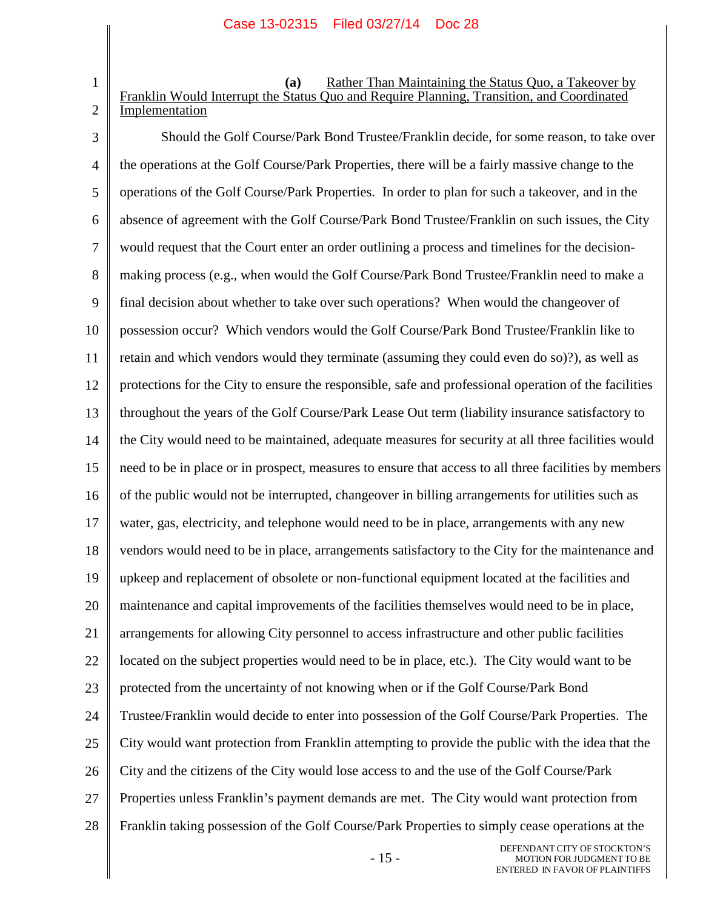1

2

**(a)** Rather Than Maintaining the Status Quo, a Takeover by Franklin Would Interrupt the Status Quo and Require Planning, Transition, and Coordinated Implementation

3 4 5 6 7 8 9 10 11 12 13 14 15 16 17 18 19 20 21 22 23 24 25 26 27 28 Should the Golf Course/Park Bond Trustee/Franklin decide, for some reason, to take over the operations at the Golf Course/Park Properties, there will be a fairly massive change to the operations of the Golf Course/Park Properties. In order to plan for such a takeover, and in the absence of agreement with the Golf Course/Park Bond Trustee/Franklin on such issues, the City would request that the Court enter an order outlining a process and timelines for the decisionmaking process (e.g., when would the Golf Course/Park Bond Trustee/Franklin need to make a final decision about whether to take over such operations? When would the changeover of possession occur? Which vendors would the Golf Course/Park Bond Trustee/Franklin like to retain and which vendors would they terminate (assuming they could even do so)?), as well as protections for the City to ensure the responsible, safe and professional operation of the facilities throughout the years of the Golf Course/Park Lease Out term (liability insurance satisfactory to the City would need to be maintained, adequate measures for security at all three facilities would need to be in place or in prospect, measures to ensure that access to all three facilities by members of the public would not be interrupted, changeover in billing arrangements for utilities such as water, gas, electricity, and telephone would need to be in place, arrangements with any new vendors would need to be in place, arrangements satisfactory to the City for the maintenance and upkeep and replacement of obsolete or non-functional equipment located at the facilities and maintenance and capital improvements of the facilities themselves would need to be in place, arrangements for allowing City personnel to access infrastructure and other public facilities located on the subject properties would need to be in place, etc.). The City would want to be protected from the uncertainty of not knowing when or if the Golf Course/Park Bond Trustee/Franklin would decide to enter into possession of the Golf Course/Park Properties. The City would want protection from Franklin attempting to provide the public with the idea that the City and the citizens of the City would lose access to and the use of the Golf Course/Park Properties unless Franklin's payment demands are met. The City would want protection from Franklin taking possession of the Golf Course/Park Properties to simply cease operations at the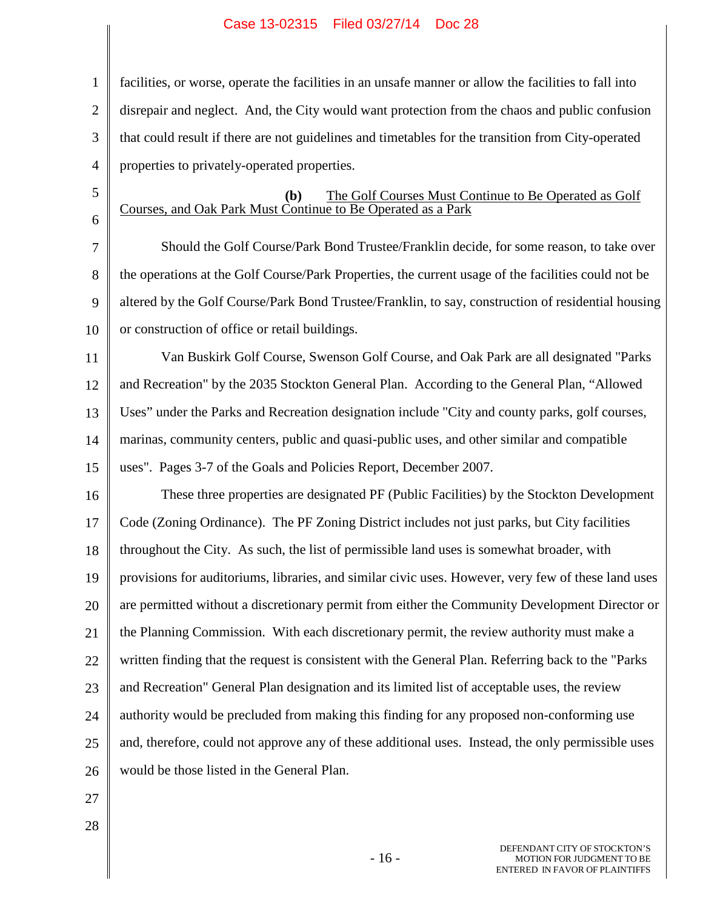1 2 3 4 facilities, or worse, operate the facilities in an unsafe manner or allow the facilities to fall into disrepair and neglect. And, the City would want protection from the chaos and public confusion that could result if there are not guidelines and timetables for the transition from City-operated properties to privately-operated properties.

5

6

# **(b)** The Golf Courses Must Continue to Be Operated as Golf Courses, and Oak Park Must Continue to Be Operated as a Park

7 8 9 10 Should the Golf Course/Park Bond Trustee/Franklin decide, for some reason, to take over the operations at the Golf Course/Park Properties, the current usage of the facilities could not be altered by the Golf Course/Park Bond Trustee/Franklin, to say, construction of residential housing or construction of office or retail buildings.

11 12 13 14 15 Van Buskirk Golf Course, Swenson Golf Course, and Oak Park are all designated "Parks and Recreation" by the 2035 Stockton General Plan. According to the General Plan, "Allowed Uses" under the Parks and Recreation designation include "City and county parks, golf courses, marinas, community centers, public and quasi-public uses, and other similar and compatible uses". Pages 3-7 of the Goals and Policies Report, December 2007.

16 17 18 19 20 21 22 23 24 25 26 These three properties are designated PF (Public Facilities) by the Stockton Development Code (Zoning Ordinance). The PF Zoning District includes not just parks, but City facilities throughout the City. As such, the list of permissible land uses is somewhat broader, with provisions for auditoriums, libraries, and similar civic uses. However, very few of these land uses are permitted without a discretionary permit from either the Community Development Director or the Planning Commission. With each discretionary permit, the review authority must make a written finding that the request is consistent with the General Plan. Referring back to the "Parks and Recreation" General Plan designation and its limited list of acceptable uses, the review authority would be precluded from making this finding for any proposed non-conforming use and, therefore, could not approve any of these additional uses. Instead, the only permissible uses would be those listed in the General Plan.

- 27
- 28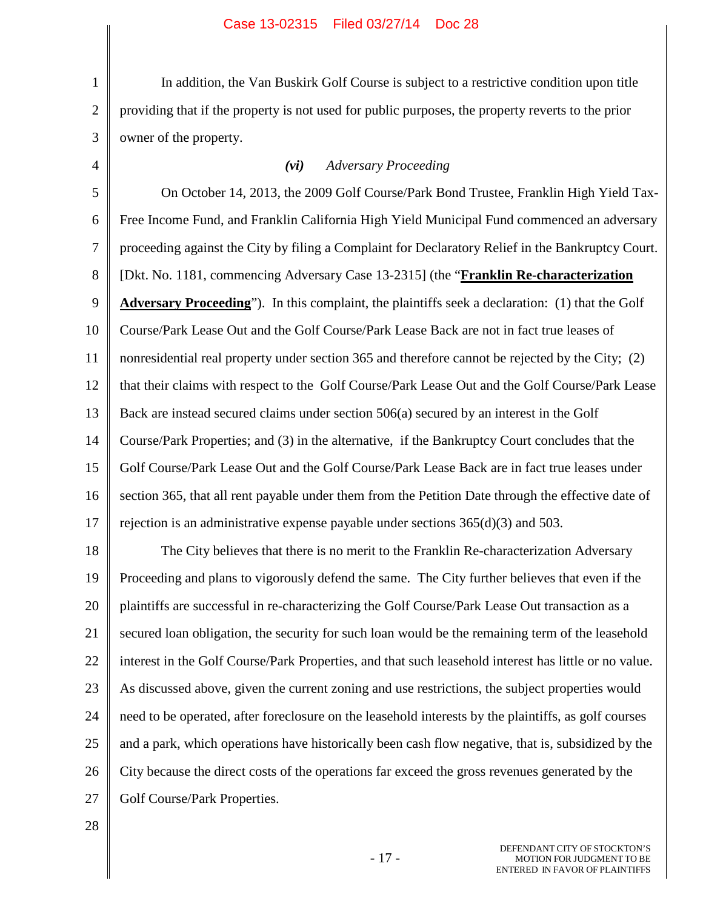3 In addition, the Van Buskirk Golf Course is subject to a restrictive condition upon title providing that if the property is not used for public purposes, the property reverts to the prior owner of the property.

1

2

4

# *(vi) Adversary Proceeding*

5 6 7 8 9 10 11 12 13 14 15 16 17 On October 14, 2013, the 2009 Golf Course/Park Bond Trustee, Franklin High Yield Tax-Free Income Fund, and Franklin California High Yield Municipal Fund commenced an adversary proceeding against the City by filing a Complaint for Declaratory Relief in the Bankruptcy Court. [Dkt. No. 1181, commencing Adversary Case 13-2315] (the "**Franklin Re-characterization** Adversary Proceeding"). In this complaint, the plaintiffs seek a declaration: (1) that the Golf Course/Park Lease Out and the Golf Course/Park Lease Back are not in fact true leases of nonresidential real property under section 365 and therefore cannot be rejected by the City; (2) that their claims with respect to the Golf Course/Park Lease Out and the Golf Course/Park Lease Back are instead secured claims under section 506(a) secured by an interest in the Golf Course/Park Properties; and (3) in the alternative, if the Bankruptcy Court concludes that the Golf Course/Park Lease Out and the Golf Course/Park Lease Back are in fact true leases under section 365, that all rent payable under them from the Petition Date through the effective date of rejection is an administrative expense payable under sections 365(d)(3) and 503.

18 19 20 21 22 23 24 25 26 27 The City believes that there is no merit to the Franklin Re-characterization Adversary Proceeding and plans to vigorously defend the same. The City further believes that even if the plaintiffs are successful in re-characterizing the Golf Course/Park Lease Out transaction as a secured loan obligation, the security for such loan would be the remaining term of the leasehold interest in the Golf Course/Park Properties, and that such leasehold interest has little or no value. As discussed above, given the current zoning and use restrictions, the subject properties would need to be operated, after foreclosure on the leasehold interests by the plaintiffs, as golf courses and a park, which operations have historically been cash flow negative, that is, subsidized by the City because the direct costs of the operations far exceed the gross revenues generated by the Golf Course/Park Properties.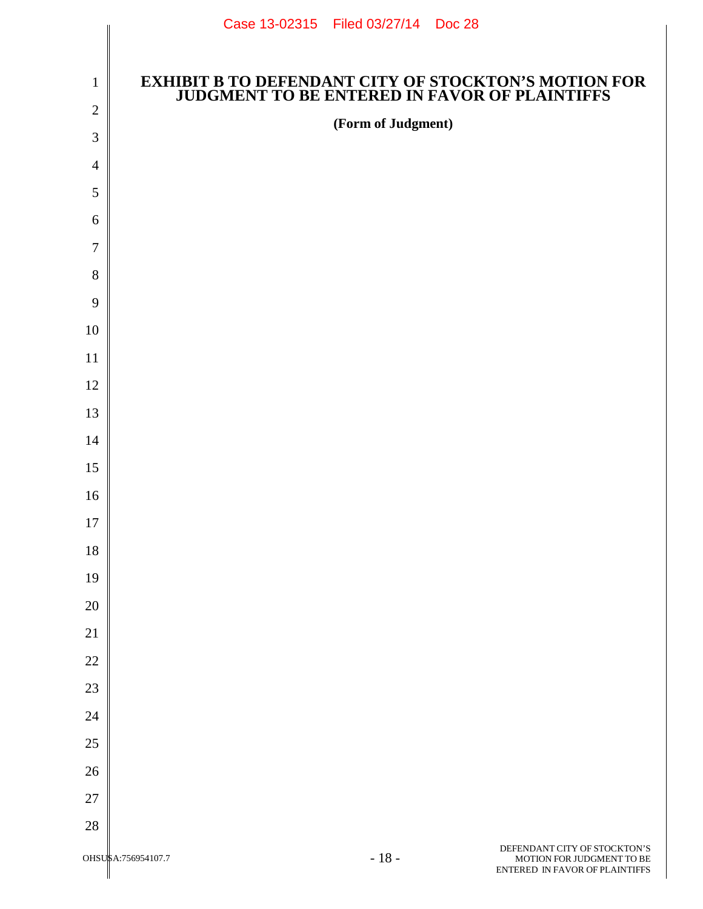|                  | Case 13-02315   Filed 03/27/14   Doc 28 |                                                                                                               |
|------------------|-----------------------------------------|---------------------------------------------------------------------------------------------------------------|
|                  |                                         |                                                                                                               |
| $\mathbf{1}$     |                                         | <b>EXHIBIT B TO DEFENDANT CITY OF STOCKTON'S MOTION FOR<br/>JUDGMENT TO BE ENTERED IN FAVOR OF PLAINTIFFS</b> |
| $\sqrt{2}$       | (Form of Judgment)                      |                                                                                                               |
| 3                |                                         |                                                                                                               |
| $\overline{4}$   |                                         |                                                                                                               |
| 5                |                                         |                                                                                                               |
| 6                |                                         |                                                                                                               |
| $\boldsymbol{7}$ |                                         |                                                                                                               |
| $8\,$            |                                         |                                                                                                               |
| $\mathbf{9}$     |                                         |                                                                                                               |
| 10               |                                         |                                                                                                               |
| 11               |                                         |                                                                                                               |
| 12               |                                         |                                                                                                               |
| 13               |                                         |                                                                                                               |
| 14               |                                         |                                                                                                               |
| 15               |                                         |                                                                                                               |
| 16               |                                         |                                                                                                               |
| 17               |                                         |                                                                                                               |
| $18\,$<br>19     |                                         |                                                                                                               |
| $20\,$           |                                         |                                                                                                               |
| 21               |                                         |                                                                                                               |
| 22               |                                         |                                                                                                               |
| 23               |                                         |                                                                                                               |
| 24               |                                         |                                                                                                               |
| $25\,$           |                                         |                                                                                                               |
| 26               |                                         |                                                                                                               |
| $27\,$           |                                         |                                                                                                               |
| $28\,$           |                                         |                                                                                                               |
|                  | 1 <sub>O</sub>                          | DEFENDANT CITY OF STOCKTON'S                                                                                  |

I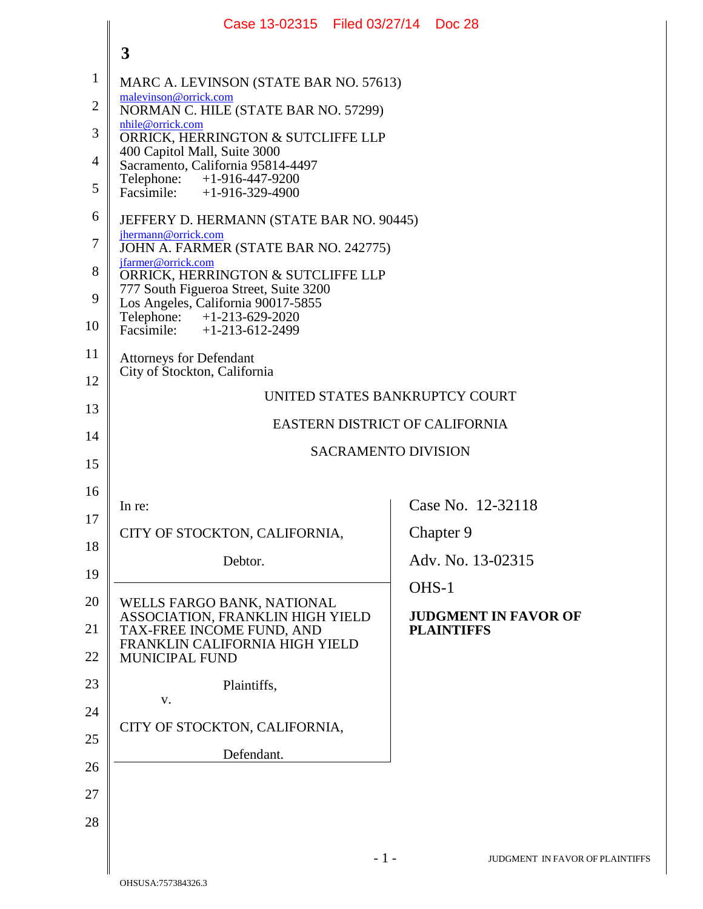|                | Case 13-02315   Filed 03/27/14   Doc 28                                                |                            |                                |  |  |
|----------------|----------------------------------------------------------------------------------------|----------------------------|--------------------------------|--|--|
|                | 3                                                                                      |                            |                                |  |  |
| $\mathbf{1}$   | MARC A. LEVINSON (STATE BAR NO. 57613)                                                 |                            |                                |  |  |
| $\overline{2}$ | malevinson@orrick.com<br>NORMAN C. HILE (STATE BAR NO. 57299)                          |                            |                                |  |  |
| 3              | nhile@orrick.com<br>ORRICK, HERRINGTON & SUTCLIFFE LLP<br>400 Capitol Mall, Suite 3000 |                            |                                |  |  |
| $\overline{4}$ | Sacramento, California 95814-4497<br>Telephone: +1-916-447-9200                        |                            |                                |  |  |
| 5              | Facsimile: $+1-916-329-4900$                                                           |                            |                                |  |  |
| 6              | JEFFERY D. HERMANN (STATE BAR NO. 90445)<br>jhermann@orrick.com                        |                            |                                |  |  |
| 7              | JOHN A. FARMER (STATE BAR NO. 242775)<br>jfarmer@orrick.com                            |                            |                                |  |  |
| 8              | ORRICK, HERRINGTON & SUTCLIFFE LLP<br>777 South Figueroa Street, Suite 3200            |                            |                                |  |  |
| 9<br>10        | Los Angeles, California 90017-5855<br>Telephone: +1-213-629-2020                       |                            |                                |  |  |
| 11             | Facsimile: +1-213-612-2499                                                             |                            |                                |  |  |
| 12             | <b>Attorneys for Defendant</b><br>City of Stockton, California                         |                            |                                |  |  |
| 13             | UNITED STATES BANKRUPTCY COURT                                                         |                            |                                |  |  |
| 14             | EASTERN DISTRICT OF CALIFORNIA                                                         |                            |                                |  |  |
| 15             |                                                                                        | <b>SACRAMENTO DIVISION</b> |                                |  |  |
| 16             |                                                                                        |                            |                                |  |  |
| 17             | In re:                                                                                 |                            | Case No. 12-32118              |  |  |
| 18             | CITY OF STOCKTON, CALIFORNIA,                                                          |                            | Chapter 9<br>Adv. No. 13-02315 |  |  |
| 19             | Debtor.                                                                                | OHS-1                      |                                |  |  |
| 20             | WELLS FARGO BANK, NATIONAL<br>ASSOCIATION, FRANKLIN HIGH YIELD                         |                            | <b>JUDGMENT IN FAVOR OF</b>    |  |  |
| 21             | TAX-FREE INCOME FUND, AND<br>FRANKLIN CALIFORNIA HIGH YIELD                            |                            | <b>PLAINTIFFS</b>              |  |  |
| 22             | MUNICIPAL FUND                                                                         |                            |                                |  |  |
| 23             | Plaintiffs,<br>v.                                                                      |                            |                                |  |  |
| 24             | CITY OF STOCKTON, CALIFORNIA,                                                          |                            |                                |  |  |
| 25             | Defendant.                                                                             |                            |                                |  |  |
| 26             |                                                                                        |                            |                                |  |  |
| 27             |                                                                                        |                            |                                |  |  |
| 28             |                                                                                        |                            |                                |  |  |
|                |                                                                                        | $-1-$                      | JUDGMENT IN FAVOR OF PLAI      |  |  |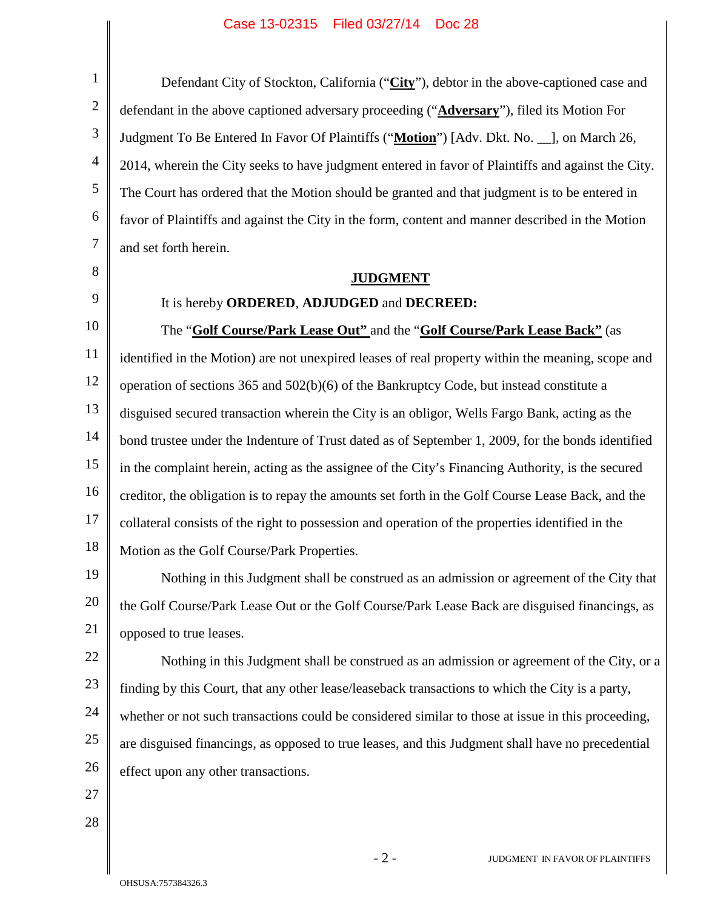4 Defendant City of Stockton, California ("**City**"), debtor in the above-captioned case and defendant in the above captioned adversary proceeding ("**Adversary**"), filed its Motion For Judgment To Be Entered In Favor Of Plaintiffs ("**Motion**") [Adv. Dkt. No. \_\_], on March 26, 2014, wherein the City seeks to have judgment entered in favor of Plaintiffs and against the City. The Court has ordered that the Motion should be granted and that judgment is to be entered in favor of Plaintiffs and against the City in the form, content and manner described in the Motion and set forth herein.

# **JUDGMENT**

9

1

2

3

5

6

7

8

# It is hereby **ORDERED**, **ADJUDGED** and **DECREED:**

10 11 12 13 14 15 16 17 18 The "**Golf Course/Park Lease Out"** and the "**Golf Course/Park Lease Back"** (as identified in the Motion) are not unexpired leases of real property within the meaning, scope and operation of sections 365 and 502(b)(6) of the Bankruptcy Code, but instead constitute a disguised secured transaction wherein the City is an obligor, Wells Fargo Bank, acting as the bond trustee under the Indenture of Trust dated as of September 1, 2009, for the bonds identified in the complaint herein, acting as the assignee of the City's Financing Authority, is the secured creditor, the obligation is to repay the amounts set forth in the Golf Course Lease Back, and the collateral consists of the right to possession and operation of the properties identified in the Motion as the Golf Course/Park Properties.

19 20 21 Nothing in this Judgment shall be construed as an admission or agreement of the City that the Golf Course/Park Lease Out or the Golf Course/Park Lease Back are disguised financings, as opposed to true leases.

22 23 24 25 26 Nothing in this Judgment shall be construed as an admission or agreement of the City, or a finding by this Court, that any other lease/leaseback transactions to which the City is a party, whether or not such transactions could be considered similar to those at issue in this proceeding, are disguised financings, as opposed to true leases, and this Judgment shall have no precedential effect upon any other transactions.